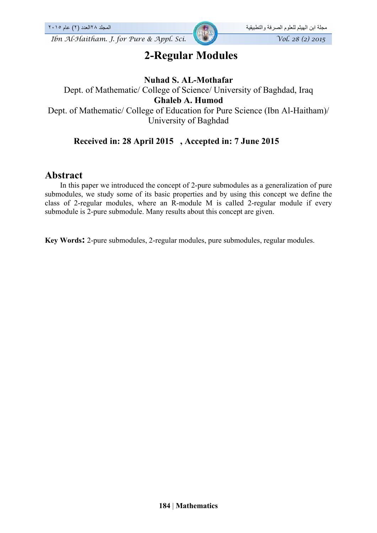*Ibn Al-Haitham. J. for Pure & Appl. Sci.* Vol. 28 (2) 2015

# **2-Regular Modules**

## **Nuhad S. AL-Mothafar**

Dept. of Mathematic/ College of Science/ University of Baghdad, Iraq **Ghaleb A. Humod** Dept. of Mathematic/ College of Education for Pure Science (Ibn Al-Haitham)/ University of Baghdad

## **Received in: 28 April 2015 , Accepted in: 7 June 2015**

## **Abstract**

 In this paper we introduced the concept of 2-pure submodules as a generalization of pure submodules, we study some of its basic properties and by using this concept we define the class of 2-regular modules, where an R-module M is called 2-regular module if every submodule is 2-pure submodule. Many results about this concept are given.

**Key Words:** 2-pure submodules, 2-regular modules, pure submodules, regular modules.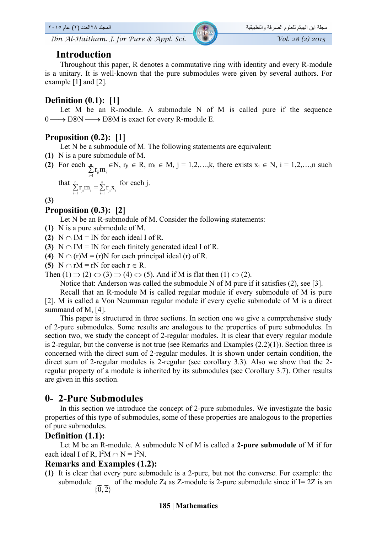## **Introduction**

 Throughout this paper, R denotes a commutative ring with identity and every R-module is a unitary. It is well-known that the pure submodules were given by several authors. For example [1] and [2].

## **Definition (0.1): [1]**

Let M be an R-module. A submodule N of M is called pure if the sequence  $0 \longrightarrow E \otimes N \longrightarrow E \otimes M$  is exact for every R-module E.

## **Proposition (0.2): [1]**

Let N be a submodule of M. The following statements are equivalent:

- **(1)** N is a pure submodule of M.
- **(2)** For each  $\frac{1}{2}$  $\sum_{i=1}^{n} r_{ji} m_i \in N$ ,  $r_{ji} \in R$ ,  $m_i \in M$ ,  $j = 1, 2, ..., k$ , there exists  $x_i \in N$ ,  $i = 1, 2, ..., n$  such

that 
$$
\sum_{i=1}^{n} r_{ji} m_i = \sum_{i=1}^{n} r_{ji} x_i
$$
 for each j.

**(3)**

### **Proposition (0.3): [2]**

Let N be an R-submodule of M. Consider the following statements:

- **(1)** N is a pure submodule of M.
- **(2)**  $N \cap IM = IN$  for each ideal I of R.
- **(3)**  $N \cap IM = IN$  for each finitely generated ideal I of R.
- **(4)**  $N \cap (r)M = (r)N$  for each principal ideal (r) of R.
- **(5)** N  $\cap$  rM = rN for each  $r \in R$ .

Then  $(1) \implies (2) \Leftrightarrow (3) \implies (4) \Leftrightarrow (5)$ . And if M is flat then  $(1) \Leftrightarrow (2)$ .

Notice that: Anderson was called the submodule N of M pure if it satisfies (2), see [3].

 Recall that an R-module M is called regular module if every submodule of M is pure [2]. M is called a Von Neumman regular module if every cyclic submodule of M is a direct summand of M, [4].

 This paper is structured in three sections. In section one we give a comprehensive study of 2-pure submodules. Some results are analogous to the properties of pure submodules. In section two, we study the concept of 2-regular modules. It is clear that every regular module is 2-regular, but the converse is not true (see Remarks and Examples (2.2)(1)). Section three is concerned with the direct sum of 2-regular modules. It is shown under certain condition, the direct sum of 2-regular modules is 2-regular (see corollary 3.3). Also we show that the 2 regular property of a module is inherited by its submodules (see Corollary 3.7). Other results are given in this section.

## **0- 2-Pure Submodules**

 In this section we introduce the concept of 2-pure submodules. We investigate the basic properties of this type of submodules, some of these properties are analogous to the properties of pure submodules.

## **Definition (1.1):**

 Let M be an R-module. A submodule N of M is called a **2-pure submodule** of M if for each ideal I of R,  $I^2M \cap N = I^2N$ .

#### **Remarks and Examples (1.2):**

**(1)** It is clear that every pure submodule is a 2-pure, but not the converse. For example: the submodule  $\{\overline{0},\overline{2}\}$ of the module  $Z_4$  as  $Z$ -module is 2-pure submodule since if  $I = 2Z$  is an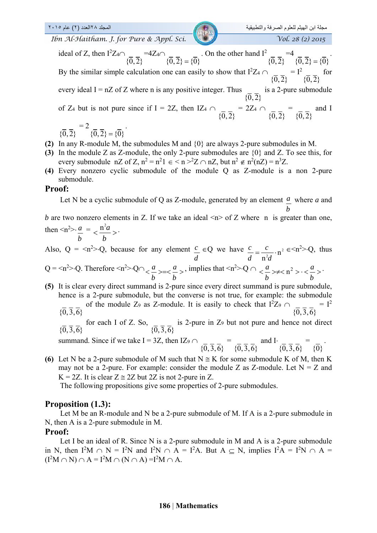مجلة ابن الـهيثم للعلوم الصرفة والتطبيقية المجلد ٢٠١٥ مجلة ابن الـهيثم للعلوم الصرفة والتطبيقية المجلد 10) عام<br>2015 Vol. 28 (2) 2015 المجلد 16n Al-Haitham. J. for Pure & Appl. Sci. *Ibn Al-Haitham. J. for Pure & Appl. Sci.* 

ideal of Z, then  $I^2Z_4 \cap$  ${0, 2}$  $=4Z_4\cap$  ${0,2} = {0}$ . On the other hand  $I^2$  ${0, 2}$  $=4$  ${0,2} = {0}$ . By the similar simple calculation one can easily to show that  $I^2Z_4 \cap$  ${0, 2}$  $= I<sup>2</sup>$  ${0, 2}$  for every ideal  $I = nZ$  of Z where n is any positive integer. Thus  ${0, 2}$  is a 2-pure submodule of Z<sub>4</sub> but is not pure since if I = 2Z, then IZ<sub>4</sub>  $\cap$  ${0, 2}$  $= 2Z_4 \cap$  $\{0, 2\}$  =  $\{0, 2\}$  and I  $= 2$ .

$$
\{\overline{0},\overline{2}\}\qquad \{\overline{0},\overline{2}\}=\{\overline{0}\}
$$

- **(2)** In any R-module M, the submodules M and {0} are always 2-pure submodules in M.
- **(3)** In the module Z as Z-module, the only 2-pure submodules are {0} and Z. To see this, for every submodule nZ of Z,  $n^2 = n^2 1 \in \langle n \rangle^2 Z \cap nZ$ , but  $n^2 \notin n^2(nZ) = n^3 Z$ .
- **(4)** Every nonzero cyclic submodule of the module Q as Z-module is a non 2-pure submodule.

#### **Proof:**

Let N be a cyclic submodule of Q as Z-module, generated by an element  $\frac{a}{x}$  where a and *b*

*b* are two nonzero elements in Z. If we take an ideal  $\leq n$  of Z where n is greater than one, then  $\langle n^2 \rangle \cdot \frac{a}{n} = \langle \frac{n^2 a}{n} \rangle \cdot$ 

$$
\frac{a}{b} < \frac{a}{b}
$$

Also,  $Q = \langle n^2 \rangle Q$ , because for any element  $\frac{c}{2}$ *d*  $\in Q$  we have  $\frac{c}{d} = \frac{c}{n^2 d} \cdot n^2$  $\frac{c}{d} = \frac{c}{n^2 d} \cdot n^2 \in \leq n^2 > Q$ , thus

Q=
$$
n^2>
$$
-Q. Therefore  $\langle n^2\rangle$ -Q $\cap \langle \frac{a}{b} \rangle$ = $\langle \frac{a}{b} \rangle$ , implies that  $\langle n^2\rangle$ -Q $\cap \langle \frac{a}{b} \rangle \neq \langle n^2\rangle$ - $\langle \frac{a}{b} \rangle$ .

**(5)** It is clear every direct summand is 2-pure since every direct summand is pure submodule, hence is a 2-pure submodule, but the converse is not true, for example: the submodule  $\{\overline{0}, \overline{3}, \overline{6}\}$ of the module Z<sub>9</sub> as Z-module. It is easily to check that  $1^2Z_9 \cap$  $\{\overline{0},\overline{3},\overline{6}\}$  $= I^2$ 

 $\{0, 3, 6\}$  for each I of Z. So,  $\{0, 3, 6\}$ is 2-pure in Z9 but not pure and hence not direct

summand. Since if we take I = 3Z, then IZ9 
$$
\cap
$$
  $\{0,\overline{3},\overline{6}\}$  =  $\{0,\overline{3},\overline{6}\}$  and I $\{0,\overline{3},\overline{6}\}$  =  $\{0\}$ .

**(6)** Let N be a 2-pure submodule of M such that  $N \cong K$  for some submodule K of M, then K may not be a 2-pure. For example: consider the module Z as Z-module. Let  $N = Z$  and  $K = 2Z$ . It is clear  $Z \cong 2Z$  but 2Z is not 2-pure in Z.

The following propositions give some properties of 2-pure submodules.

## **Proposition (1.3):**

 Let M be an R-module and N be a 2-pure submodule of M. If A is a 2-pure submodule in N, then A is a 2-pure submodule in M.

#### **Proof:**

Let I be an ideal of R. Since N is a 2-pure submodule in M and A is a 2-pure submodule in N, then  $I^2M \cap N = I^2N$  and  $I^2N \cap A = I^2A$ . But  $A \subseteq N$ , implies  $I^2A = I^2N \cap A =$  $(I^2M \cap N) \cap A = I^2M \cap (N \cap A) = I^2M \cap A$ .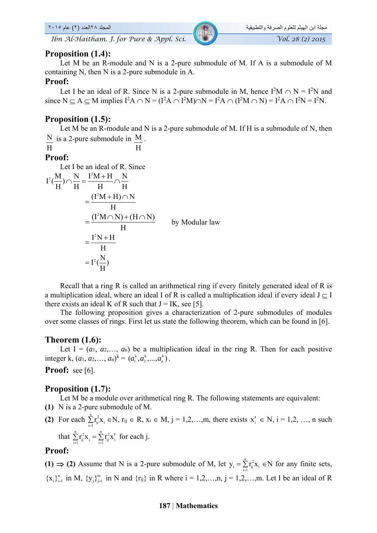*Ibn Al-Haitham. J. for Pure & Appl. Sci.* Vol. 28 (2) 2015

#### **Proposition (1.4):**

 Let M be an R-module and N is a 2-pure submodule of M. If A is a submodule of M containing N, then N is a 2-pure submodule in A.

#### **Proof:**

Let I be an ideal of R. Since N is a 2-pure submodule in M, hence  $I^2M \cap N = I^2N$  and since  $N \subseteq A \subseteq M$  implies  $I^2A \cap N = (I^2A \cap I^2M) \cap N = I^2A \cap (I^2M \cap N) = I^2A \cap I^2N = I^2N$ .

#### **Proposition (1.5):**

 Let M be an R-module and N is a 2-pure submodule of M. If H is a submodule of N, then  $\overline{N}$  is a 2-pure submodule in  $\overline{M}$ . H

$$
\mathbf{H} \\
$$

$$
f_{\rm{max}}
$$

### **Proof:**

Let I be an ideal of R. Since  $I^2(\frac{M}{H}) \cap \frac{N}{H} = \frac{I^2M + H}{H} \cap \frac{N}{H}$  $(I^2M + H) \cap N$ H  $=\frac{(I^2M+H)\cap}{I}$  $(I^2M \cap N) + (H \cap N)$ H  $=\frac{(1^2M \cap N) + (H \cap N)}{N}$  by Modular law  $I^2N+H$  $= I^2(\frac{N}{H})$ H  $=\frac{I^2N+1}{I}$ 

 Recall that a ring R is called an arithmetical ring if every finitely generated ideal of R is a multiplication ideal, where an ideal I of R is called a multiplication ideal if every ideal  $J \subset I$ there exists an ideal K of R such that  $J = IK$ , see [5].

 The following proposition gives a characterization of 2-pure submodules of modules over some classes of rings. First let us state the following theorem, which can be found in [6].

#### **Theorem (1.6):**

Let  $I = (a_1, a_2, \ldots, a_n)$  be a multiplication ideal in the ring R. Then for each positive integer k,  $(a_1, a_2, ..., a_n)^k = (a_1^k, a_2^k, ..., a_n^k)$ .

**Proof:** see [6].

#### **Proposition (1.7):**

Let M be a module over arithmetical ring R. The following statements are equivalent:

- **(1)** N is a 2-pure submodule of M.
- **(2)** For each  $\sum_{i=1}^{n} r_{ij}^2 x_i \in N$ ,  $r_{ij} \in R$ ,  $x_i \in M$ ,  $j = 1, 2, ..., m$ , there exists  $x'_i \in N$ ,  $i = 1, 2, ..., n$  such that  $\sum_{i=1}^{n} r_{ij}^2 x_i = \sum_{i=1}^{n} r_{ij}^2 x'_i$  for each j.

#### **Proof:**

(1)  $\Rightarrow$  (2) Assume that N is a 2-pure submodule of M, let  $y_i = \sum_{i=1}^{n} r_{ij}^2 x_i \in N$  for any finite sets,  ${x_i}_{i=1}^n$  in M,  ${y_j}_{j=1}^m$  in N and  ${r_{ij}}$  in R where  $i = 1,2,...,n$ ,  $j = 1,2,...,m$ . Let I be an ideal of R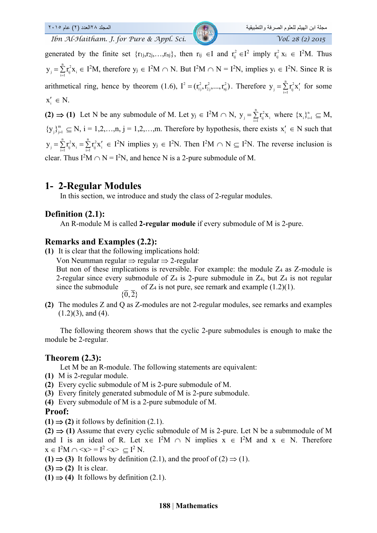مجلة ابن الهيثم للعلوم الصرفة والتطبيقية المجلد ٢٠١٥ عام ٢٠١٥ عام ٢٠١٥<br>The Al-Haitham, J. for Pure & Appl. Sci. مجلس 198 مجموع المجلد 1. The Al-Haitham, J. for Pure & Appl. Sci *Ibn Al-Haitham. J. for Pure & Appl. Sci.* 

generated by the finite set  $\{r_{1j}, r_{2j}, \ldots, r_{nj}\}\$ , then  $r_{ij} \in I$  and  $r_{ij}^2 \in I^2$  imply  $r_{ij}^2 x_i \in I^2M$ . Thus  $\frac{n}{2}$   $\frac{2}{2}$  $y_j = \sum_{i=1}^{n} r_{ij}^2 x_i \in I^2M$ , therefore  $y_j \in I^2M \cap N$ . But  $I^2M \cap N = I^2N$ , implies  $y_i \in I^2N$ . Since R is arithmetical ring, hence by theorem (1.6),  $I^2 = (r_{i,j}^2, r_{i,j}^2, ..., r_{nj}^2)$ . Therefore  $y_j = \sum_{i=1}^n r_{ij}^2 x'_i$  for some  $x'_i \in N$ .

(2)  $\Rightarrow$  (1) Let N be any submodule of M. Let  $y_j \in I^2M \cap N$ ,  $y_j = \sum_{i=1}^n r_{ij}^2 x_i$  where  $\{x_i\}_{i=1}^n \subseteq M$ ,  ${y_i}_{j=1}^m \subseteq N$ ,  $i = 1, 2, ..., n$ ,  $j = 1, 2, ..., m$ . Therefore by hypothesis, there exists  $x'_i \in N$  such that  $\frac{n}{2}$   $\frac{n}{2}$   $\frac{n}{2}$   $\frac{n}{2}$  $y_j = \sum_{i=1}^{n} r_{ij}^2 x_i = \sum_{i=1}^{n} r_{ij}^2 x_i' \in I^2N$  implies  $y_j \in I^2N$ . Then  $I^2M \cap N \subseteq I^2N$ . The reverse inclusion is clear. Thus  $I^2M \cap N = I^2N$ , and hence N is a 2-pure submodule of M.

## **1- 2-Regular Modules**

In this section, we introduce and study the class of 2-regular modules.

## **Definition (2.1):**

An R-module M is called **2-regular module** if every submodule of M is 2-pure.

## **Remarks and Examples (2.2):**

**(1)** It is clear that the following implications hold:

Von Neumman regular  $\Rightarrow$  regular  $\Rightarrow$  2-regular

But non of these implications is reversible. For example: the module Z4 as Z-module is 2-regular since every submodule of  $Z_4$  is 2-pure submodule in  $Z_4$ , but  $Z_4$  is not regular since the submodule  $\{\overline{0},\overline{2}\}$ of  $Z_4$  is not pure, see remark and example  $(1.2)(1)$ .

**(2)** The modules Z and Q as Z-modules are not 2-regular modules, see remarks and examples  $(1.2)(3)$ , and  $(4)$ .

 The following theorem shows that the cyclic 2-pure submodules is enough to make the module be 2-regular.

## **Theorem (2.3):**

Let M be an R-module. The following statements are equivalent:

- **(1)** M is 2-regular module.
- **(2)** Every cyclic submodule of M is 2-pure submodule of M.
- **(3)** Every finitely generated submodule of M is 2-pure submodule.
- **(4)** Every submodule of M is a 2-pure submodule of M.

#### **Proof:**

 $(1) \Rightarrow (2)$  it follows by definition  $(2.1)$ .

 $(2) \Rightarrow (1)$  Assume that every cyclic submodule of M is 2-pure. Let N be a submmodule of M and I is an ideal of R. Let  $x \in I^2M \cap N$  implies  $x \in I^2M$  and  $x \in N$ . Therefore  $x \in I^2M \cap \langle x \rangle = I^2 \langle x \rangle \subseteq I^2 N.$ 

- **(1)**  $\Rightarrow$  (3) It follows by definition (2.1), and the proof of (2)  $\Rightarrow$  (1).
- $(3) \Rightarrow (2)$  It is clear.
- $(1) \Rightarrow (4)$  It follows by definition  $(2.1)$ .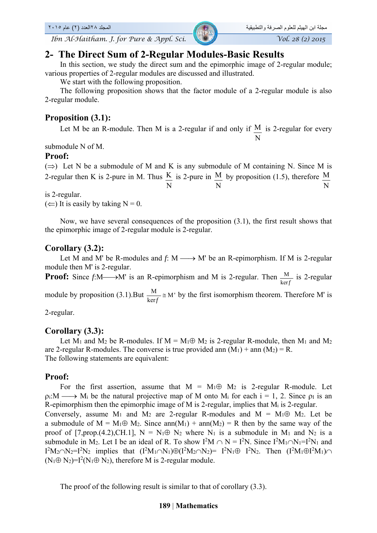## **2- The Direct Sum of 2-Regular Modules-Basic Results**

 In this section, we study the direct sum and the epimorphic image of 2-regular module; various properties of 2-regular modules are discussed and illustrated.

We start with the following proposition.

 The following proposition shows that the factor module of a 2-regular module is also 2-regular module.

## **Proposition (3.1):**

Let M be an R-module. Then M is a 2-regular if and only if  $M$ N is 2-regular for every

submodule N of M.

#### **Proof:**

 $(\Rightarrow)$  Let N be a submodule of M and K is any submodule of M containing N. Since M is 2-regular then K is 2-pure in M. Thus  $\overline{K}$ N is 2-pure in  $M$ N by proposition (1.5), therefore  $\overline{M}$ N

is 2-regular.

 $(\Leftarrow)$  It is easily by taking N = 0.

 Now, we have several consequences of the proposition (3.1), the first result shows that the epimorphic image of 2-regular module is 2-regular.

## **Corollary (3.2):**

Let M and M' be R-modules and  $f: M \longrightarrow M'$  be an R-epimorphism. If M is 2-regular module then M' is 2-regular.

**Proof:** Since  $f:\mathbb{M}\longrightarrow\mathbb{M}$  is an R-epimorphism and M is 2-regular. Then  $\frac{M}{\ker f}$  is 2-regular

module by proposition (3.1).But  $\frac{M}{\text{ker } f} \cong M'$  by the first isomorphism theorem. Therefore M' is

2-regular.

## **Corollary (3.3):**

Let M<sub>1</sub> and M<sub>2</sub> be R-modules. If M =  $M_1 \oplus M_2$  is 2-regular R-module, then M<sub>1</sub> and M<sub>2</sub> are 2-regular R-modules. The converse is true provided ann  $(M_1)$  + ann  $(M_2)$  = R. The following statements are equivalent:

#### **Proof:**

For the first assertion, assume that  $M = M_1 \oplus M_2$  is 2-regular R-module. Let  $\rho$ . M<sub>i</sub> be the natural projective map of M onto M<sub>i</sub> for each  $i = 1, 2$ . Since  $\rho_i$  is an R-epimorphism then the epimorphic image of M is 2-regular, implies that Mi is 2-regular. Conversely, assume  $M_1$  and  $M_2$  are 2-regular R-modules and  $M = M_1 \oplus M_2$ . Let be

a submodule of  $M = M_1 \oplus M_2$ . Since ann $(M_1) + am_1(M_2) = R$  then by the same way of the proof of [7,prop.(4.2),CH.1],  $N = N_1 \oplus N_2$  where  $N_1$  is a submodule in  $M_1$  and  $N_2$  is a submodule in M<sub>2</sub>. Let I be an ideal of R. To show  $I^2M \cap N = I^2N$ . Since  $I^2M_1 \cap N_1 = I^2N_1$  and  $I^2M_2 \cap N_2 = I^2N_2$  implies that  $(I^2M_1 \cap N_1) \oplus (I^2M_2 \cap N_2) = I^2N_1 \oplus I^2N_2$ . Then  $(I^2M_1 \oplus I^2M_1) \cap I^2M_2$  $(N_1 \oplus N_2) = I^2(N_1 \oplus N_2)$ , therefore M is 2-regular module.

The proof of the following result is similar to that of corollary (3.3).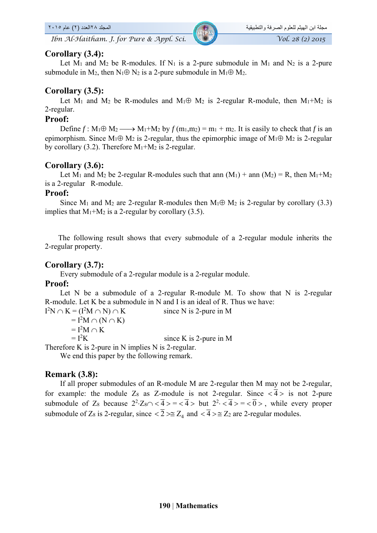*Ibn Al-Haitham. J. for Pure & Appl. Sci. Vol. 28 (2) 2015* 

### **Corollary (3.4):**

Let  $M_1$  and  $M_2$  be R-modules. If  $N_1$  is a 2-pure submodule in  $M_1$  and  $N_2$  is a 2-pure submodule in M<sub>2</sub>, then N<sub>1</sub> $\oplus$  N<sub>2</sub> is a 2-pure submodule in M<sub>1</sub> $\oplus$  M<sub>2</sub>.

## **Corollary (3.5):**

Let M<sub>1</sub> and M<sub>2</sub> be R-modules and M<sub>1</sub> $\oplus$  M<sub>2</sub> is 2-regular R-module, then M<sub>1</sub>+M<sub>2</sub> is 2-regular.

## **Proof:**

Define  $f: M_1 \oplus M_2 \longrightarrow M_1 + M_2$  by  $f(m_1, m_2) = m_1 + m_2$ . It is easily to check that *f* is an epimorphism. Since  $M_1 \oplus M_2$  is 2-regular, thus the epimorphic image of  $M_1 \oplus M_2$  is 2-regular by corollary (3.2). Therefore  $M_1+M_2$  is 2-regular.

## **Corollary (3.6):**

Let M<sub>1</sub> and M<sub>2</sub> be 2-regular R-modules such that ann  $(M_1)$  + ann  $(M_2)$  = R, then  $M_1+M_2$ is a 2-regular R-module.

### **Proof:**

Since M<sub>1</sub> and M<sub>2</sub> are 2-regular R-modules then M<sub>1</sub> $\oplus$  M<sub>2</sub> is 2-regular by corollary (3.3) implies that  $M_1+M_2$  is a 2-regular by corollary (3.5).

 The following result shows that every submodule of a 2-regular module inherits the 2-regular property.

## **Corollary (3.7):**

Every submodule of a 2-regular module is a 2-regular module.

## **Proof:**

Let N be a submodule of a 2-regular R-module M. To show that N is 2-regular R-module. Let K be a submodule in N and I is an ideal of R. Thus we have:

 $I^2N \cap K = (I^2)$ since  $N$  is 2-pure in M  $= I<sup>2</sup>M \cap (N \cap K)$  $= I^2M \cap K$  $= I^2K$ since K is 2-pure in  $M$ Therefore K is 2-pure in N implies N is 2-regular.

We end this paper by the following remark.

## **Remark (3.8):**

 If all proper submodules of an R-module M are 2-regular then M may not be 2-regular, for example: the module Z<sub>8</sub> as Z-module is not 2-regular. Since  $\langle \overline{4} \rangle$  is not 2-pure submodule of Z<sub>8</sub> because  $2^2 \cdot Z_8 \cap \langle \overline{4} \rangle = \langle \overline{4} \rangle$  but  $2^2 \cdot \langle \overline{4} \rangle = \langle \overline{0} \rangle$ , while every proper submodule of Z<sub>8</sub> is 2-regular, since  $\langle \overline{2} \rangle \cong Z_4$  and  $\langle \overline{4} \rangle \cong Z_2$  are 2-regular modules.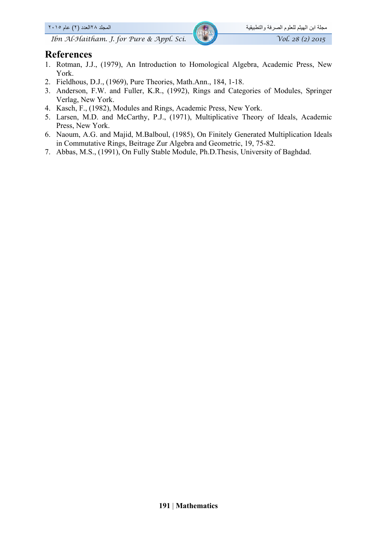#### مجلة ابن الھيثم للعلوم الصرفة والتطبيقية المجلد ٢٨العدد (٢) عام ٢٠١٥

## **References**

- 1. Rotman, J.J., (1979), An Introduction to Homological Algebra, Academic Press, New York.
- 2. Fieldhous, D.J., (1969), Pure Theories, Math.Ann., 184, 1-18.
- 3. Anderson, F.W. and Fuller, K.R., (1992), Rings and Categories of Modules, Springer Verlag, New York.
- 4. Kasch, F., (1982), Modules and Rings, Academic Press, New York.
- 5. Larsen, M.D. and McCarthy, P.J., (1971), Multiplicative Theory of Ideals, Academic Press, New York.
- 6. Naoum, A.G. and Majid, M.Balboul, (1985), On Finitely Generated Multiplication Ideals in Commutative Rings, Beitrage Zur Algebra and Geometric, 19, 75-82.
- 7. Abbas, M.S., (1991), On Fully Stable Module, Ph.D.Thesis, University of Baghdad.